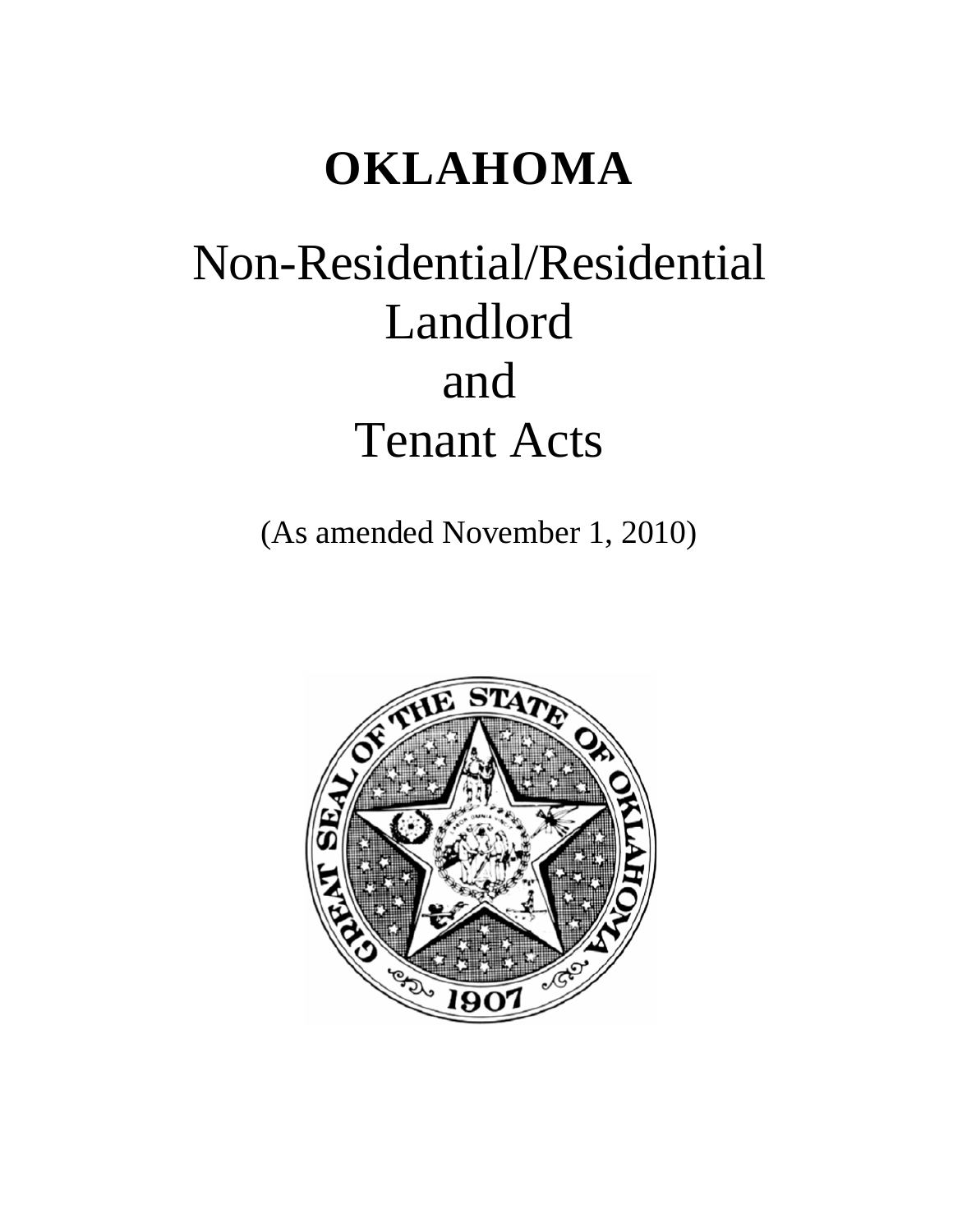## **OKLAHOMA**

# Non-Residential/Residential Landlord and Tenant Acts

(As amended November 1, 2010)

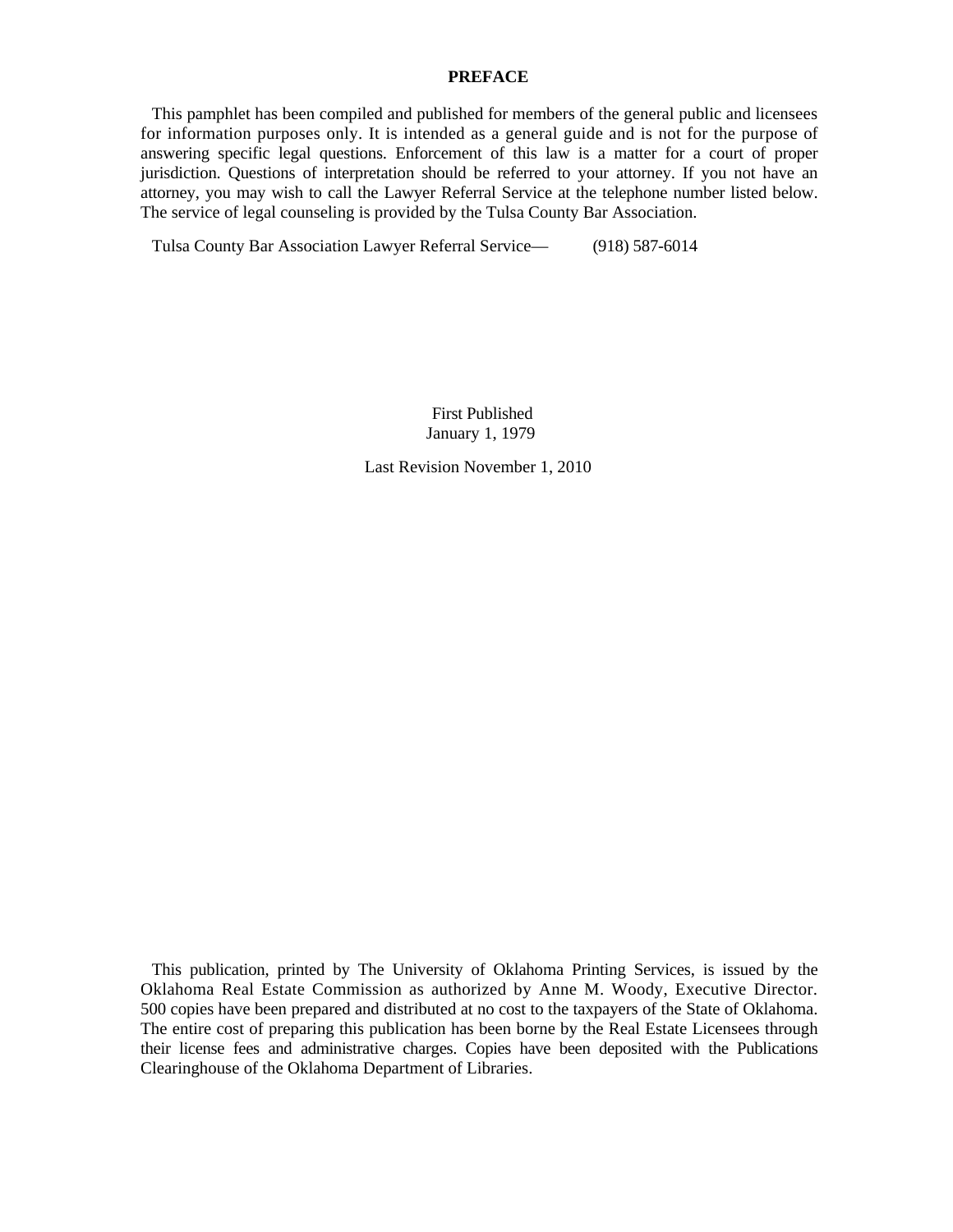### **PREFACE**

This pamphlet has been compiled and published for members of the general public and licensees for information purposes only. It is intended as a general guide and is not for the purpose of answering specific legal questions. Enforcement of this law is a matter for a court of proper jurisdiction. Questions of interpretation should be referred to your attorney. If you not have an attorney, you may wish to call the Lawyer Referral Service at the telephone number listed below. The service of legal counseling is provided by the Tulsa County Bar Association.

Tulsa County Bar Association Lawyer Referral Service— (918) 587-6014

First Published January 1, 1979

Last Revision November 1, 2010

This publication, printed by The University of Oklahoma Printing Services, is issued by the Oklahoma Real Estate Commission as authorized by Anne M. Woody, Executive Director. 500 copies have been prepared and distributed at no cost to the taxpayers of the State of Oklahoma. The entire cost of preparing this publication has been borne by the Real Estate Licensees through their license fees and administrative charges. Copies have been deposited with the Publications Clearinghouse of the Oklahoma Department of Libraries.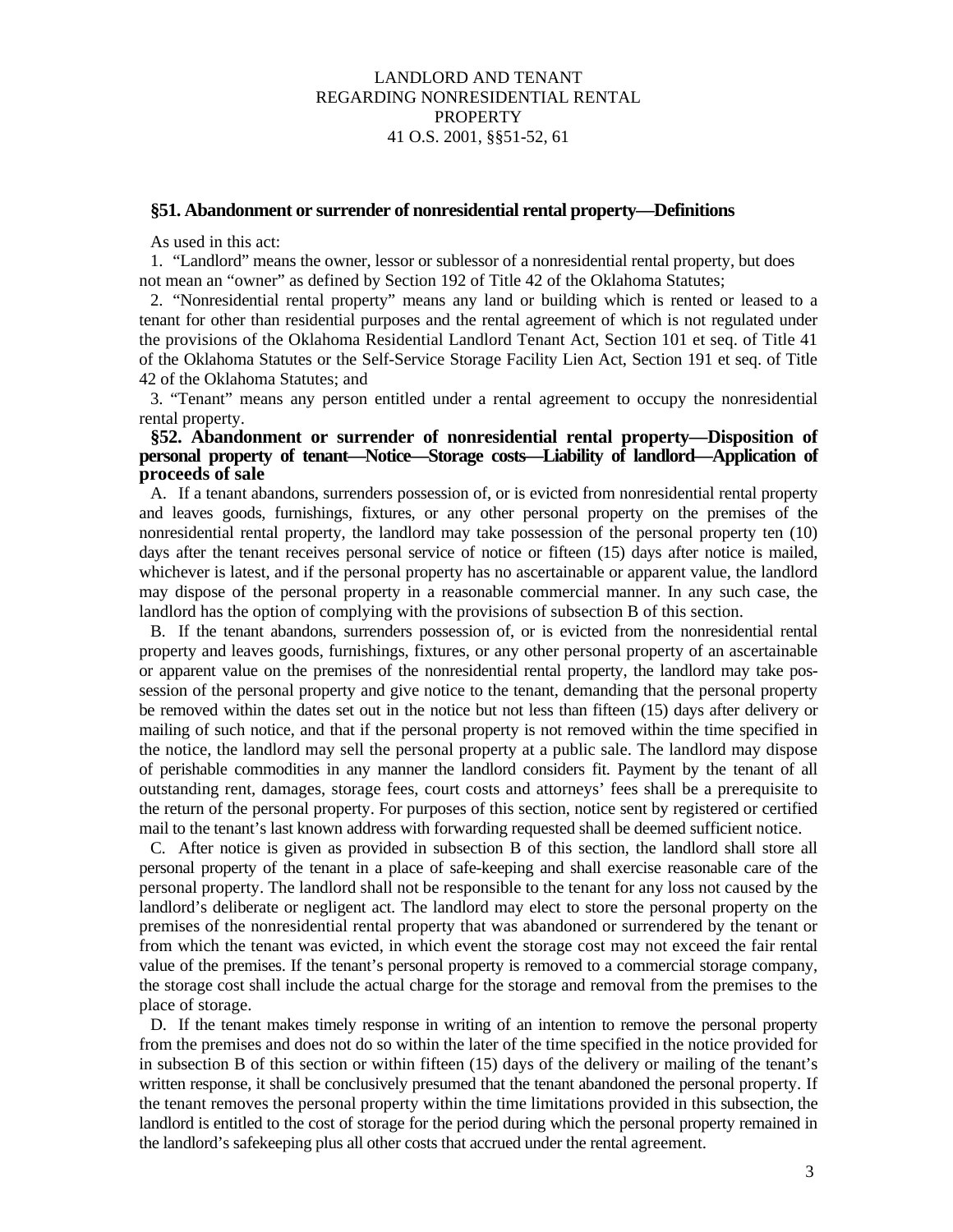## LANDLORD AND TENANT REGARDING NONRESIDENTIAL RENTAL PROPERTY 41 O.S. 2001, §§51-52, 61

#### **§51. Abandonment or surrender of nonresidential rental property—Definitions**

As used in this act:

1. "Landlord" means the owner, lessor or sublessor of a nonresidential rental property, but does not mean an "owner" as defined by Section 192 of Title 42 of the Oklahoma Statutes;

2. "Nonresidential rental property" means any land or building which is rented or leased to a tenant for other than residential purposes and the rental agreement of which is not regulated under the provisions of the Oklahoma Residential Landlord Tenant Act, Section 101 et seq. of Title 41 of the Oklahoma Statutes or the Self-Service Storage Facility Lien Act, Section 191 et seq. of Title 42 of the Oklahoma Statutes; and

3. "Tenant" means any person entitled under a rental agreement to occupy the nonresidential rental property.

### **§52. Abandonment or surrender of nonresidential rental property—Disposition of personal property of tenant—Notice—Storage costs—Liability of landlord—Application of proceeds of sale**

A. If a tenant abandons, surrenders possession of, or is evicted from nonresidential rental property and leaves goods, furnishings, fixtures, or any other personal property on the premises of the nonresidential rental property, the landlord may take possession of the personal property ten (10) days after the tenant receives personal service of notice or fifteen (15) days after notice is mailed, whichever is latest, and if the personal property has no ascertainable or apparent value, the landlord may dispose of the personal property in a reasonable commercial manner. In any such case, the landlord has the option of complying with the provisions of subsection B of this section.

B. If the tenant abandons, surrenders possession of, or is evicted from the nonresidential rental property and leaves goods, furnishings, fixtures, or any other personal property of an ascertainable or apparent value on the premises of the nonresidential rental property, the landlord may take possession of the personal property and give notice to the tenant, demanding that the personal property be removed within the dates set out in the notice but not less than fifteen (15) days after delivery or mailing of such notice, and that if the personal property is not removed within the time specified in the notice, the landlord may sell the personal property at a public sale. The landlord may dispose of perishable commodities in any manner the landlord considers fit. Payment by the tenant of all outstanding rent, damages, storage fees, court costs and attorneys' fees shall be a prerequisite to the return of the personal property. For purposes of this section, notice sent by registered or certified mail to the tenant's last known address with forwarding requested shall be deemed sufficient notice.

C. After notice is given as provided in subsection B of this section, the landlord shall store all personal property of the tenant in a place of safe-keeping and shall exercise reasonable care of the personal property. The landlord shall not be responsible to the tenant for any loss not caused by the landlord's deliberate or negligent act. The landlord may elect to store the personal property on the premises of the nonresidential rental property that was abandoned or surrendered by the tenant or from which the tenant was evicted, in which event the storage cost may not exceed the fair rental value of the premises. If the tenant's personal property is removed to a commercial storage company, the storage cost shall include the actual charge for the storage and removal from the premises to the place of storage.

D. If the tenant makes timely response in writing of an intention to remove the personal property from the premises and does not do so within the later of the time specified in the notice provided for in subsection B of this section or within fifteen (15) days of the delivery or mailing of the tenant's written response, it shall be conclusively presumed that the tenant abandoned the personal property. If the tenant removes the personal property within the time limitations provided in this subsection, the landlord is entitled to the cost of storage for the period during which the personal property remained in the landlord's safekeeping plus all other costs that accrued under the rental agreement.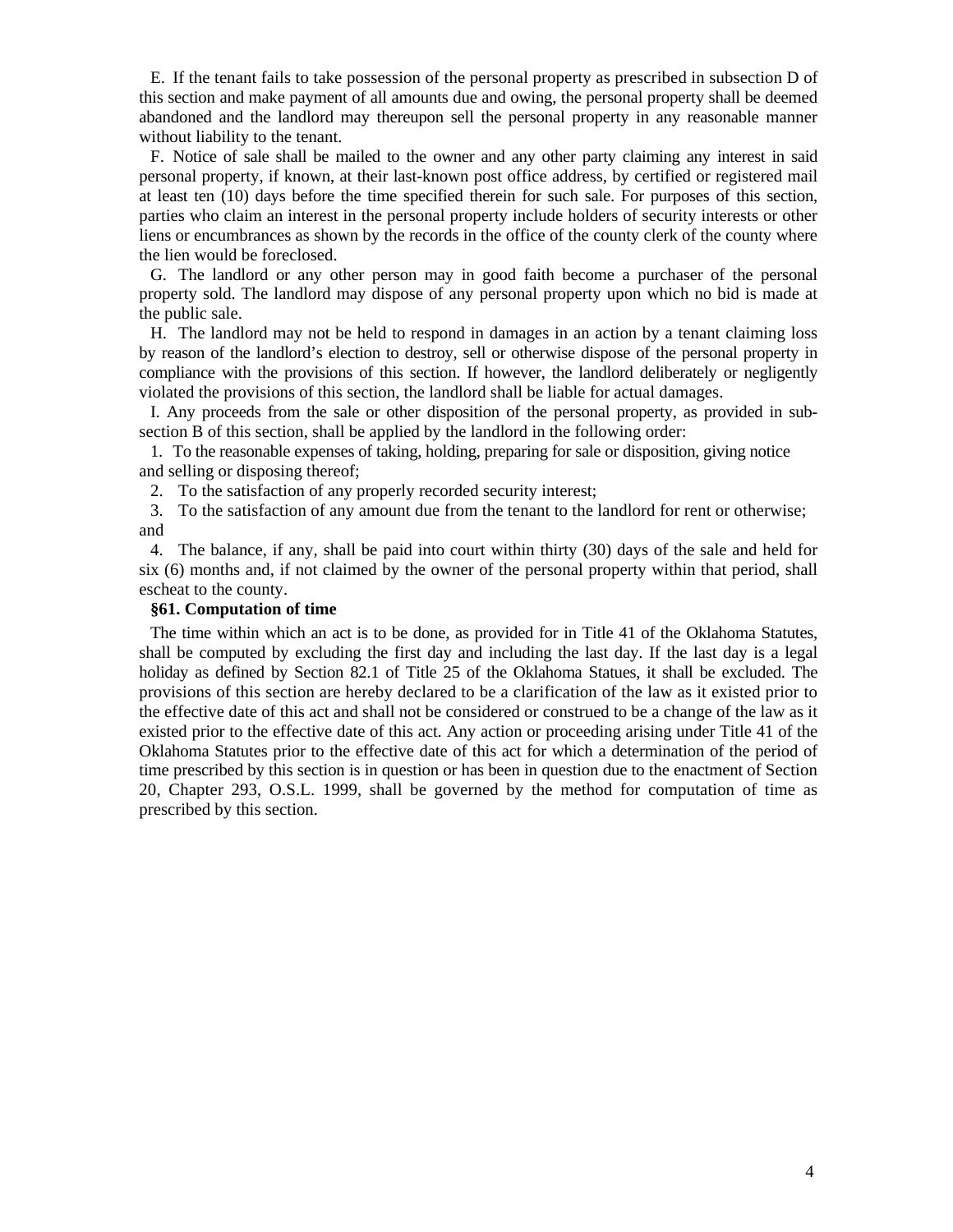E. If the tenant fails to take possession of the personal property as prescribed in subsection D of this section and make payment of all amounts due and owing, the personal property shall be deemed abandoned and the landlord may thereupon sell the personal property in any reasonable manner without liability to the tenant.

F. Notice of sale shall be mailed to the owner and any other party claiming any interest in said personal property, if known, at their last-known post office address, by certified or registered mail at least ten (10) days before the time specified therein for such sale. For purposes of this section, parties who claim an interest in the personal property include holders of security interests or other liens or encumbrances as shown by the records in the office of the county clerk of the county where the lien would be foreclosed.

G. The landlord or any other person may in good faith become a purchaser of the personal property sold. The landlord may dispose of any personal property upon which no bid is made at the public sale.

H. The landlord may not be held to respond in damages in an action by a tenant claiming loss by reason of the landlord's election to destroy, sell or otherwise dispose of the personal property in compliance with the provisions of this section. If however, the landlord deliberately or negligently violated the provisions of this section, the landlord shall be liable for actual damages.

I. Any proceeds from the sale or other disposition of the personal property, as provided in subsection B of this section, shall be applied by the landlord in the following order:

1. To the reasonable expenses of taking, holding, preparing for sale or disposition, giving notice and selling or disposing thereof;

2. To the satisfaction of any properly recorded security interest;

3. To the satisfaction of any amount due from the tenant to the landlord for rent or otherwise; and

4. The balance, if any, shall be paid into court within thirty (30) days of the sale and held for six (6) months and, if not claimed by the owner of the personal property within that period, shall escheat to the county.

## **§61. Computation of time**

The time within which an act is to be done, as provided for in Title 41 of the Oklahoma Statutes, shall be computed by excluding the first day and including the last day. If the last day is a legal holiday as defined by Section 82.1 of Title 25 of the Oklahoma Statues, it shall be excluded. The provisions of this section are hereby declared to be a clarification of the law as it existed prior to the effective date of this act and shall not be considered or construed to be a change of the law as it existed prior to the effective date of this act. Any action or proceeding arising under Title 41 of the Oklahoma Statutes prior to the effective date of this act for which a determination of the period of time prescribed by this section is in question or has been in question due to the enactment of Section 20, Chapter 293, O.S.L. 1999, shall be governed by the method for computation of time as prescribed by this section.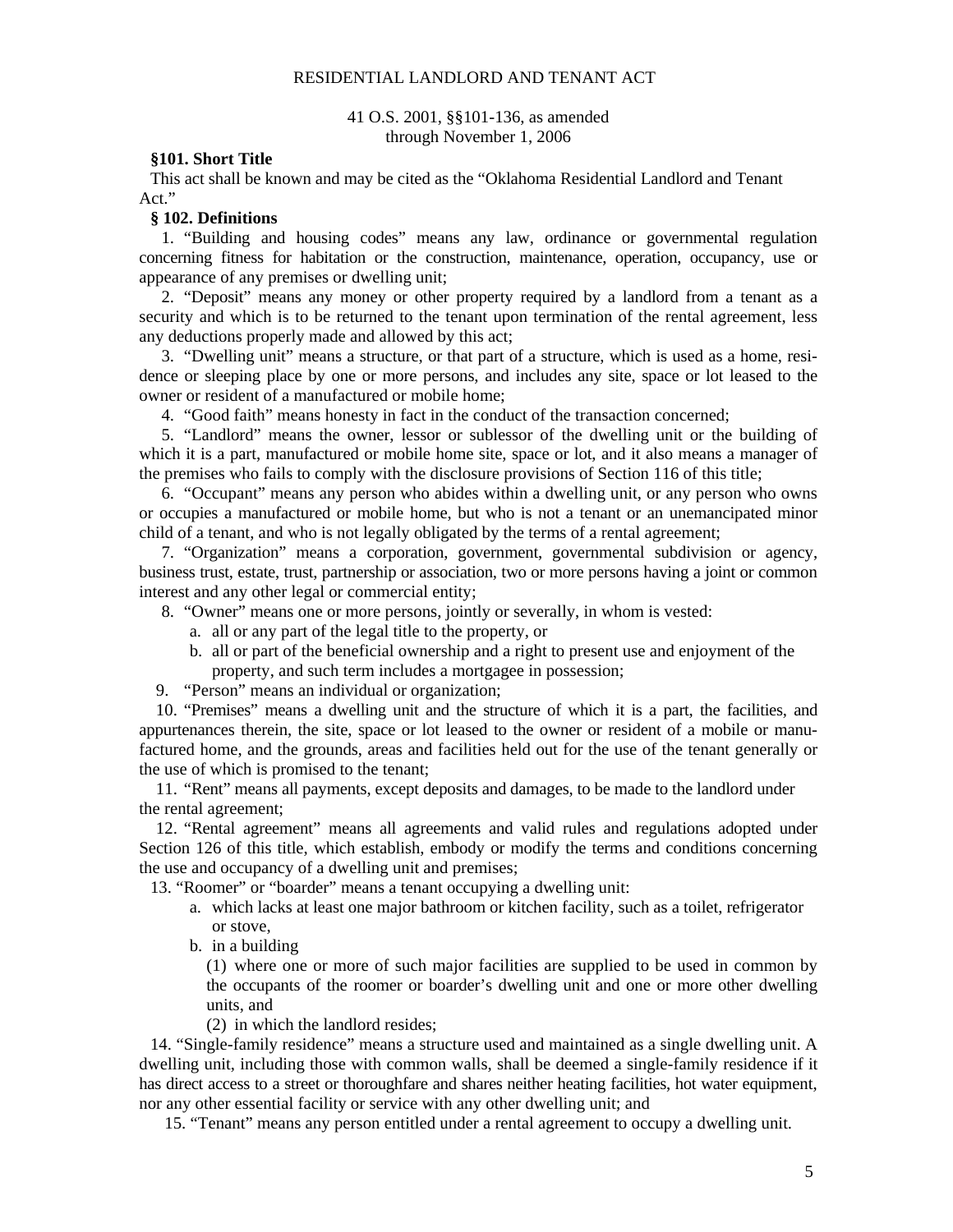#### RESIDENTIAL LANDLORD AND TENANT ACT

#### 41 O.S. 2001, §§101-136, as amended through November 1, 2006

#### **§101. Short Title**

This act shall be known and may be cited as the "Oklahoma Residential Landlord and Tenant Act."

#### **§ 102. Definitions**

1. "Building and housing codes" means any law, ordinance or governmental regulation concerning fitness for habitation or the construction, maintenance, operation, occupancy, use or appearance of any premises or dwelling unit;

2. "Deposit" means any money or other property required by a landlord from a tenant as a security and which is to be returned to the tenant upon termination of the rental agreement, less any deductions properly made and allowed by this act;

3. "Dwelling unit" means a structure, or that part of a structure, which is used as a home, residence or sleeping place by one or more persons, and includes any site, space or lot leased to the owner or resident of a manufactured or mobile home;

4. "Good faith" means honesty in fact in the conduct of the transaction concerned;

5. "Landlord" means the owner, lessor or sublessor of the dwelling unit or the building of which it is a part, manufactured or mobile home site, space or lot, and it also means a manager of the premises who fails to comply with the disclosure provisions of Section 116 of this title;

6. "Occupant" means any person who abides within a dwelling unit, or any person who owns or occupies a manufactured or mobile home, but who is not a tenant or an unemancipated minor child of a tenant, and who is not legally obligated by the terms of a rental agreement;

7. "Organization" means a corporation, government, governmental subdivision or agency, business trust, estate, trust, partnership or association, two or more persons having a joint or common interest and any other legal or commercial entity;

8. "Owner" means one or more persons, jointly or severally, in whom is vested:

- a. all or any part of the legal title to the property, or
- b. all or part of the beneficial ownership and a right to present use and enjoyment of the property, and such term includes a mortgagee in possession;

9. "Person" means an individual or organization;

10. "Premises" means a dwelling unit and the structure of which it is a part, the facilities, and appurtenances therein, the site, space or lot leased to the owner or resident of a mobile or manufactured home, and the grounds, areas and facilities held out for the use of the tenant generally or the use of which is promised to the tenant;

11. "Rent" means all payments, except deposits and damages, to be made to the landlord under the rental agreement;

12. "Rental agreement" means all agreements and valid rules and regulations adopted under Section 126 of this title, which establish, embody or modify the terms and conditions concerning the use and occupancy of a dwelling unit and premises;

13. "Roomer" or "boarder" means a tenant occupying a dwelling unit:

- a. which lacks at least one major bathroom or kitchen facility, such as a toilet, refrigerator or stove,
- b. in a building

(1) where one or more of such major facilities are supplied to be used in common by the occupants of the roomer or boarder's dwelling unit and one or more other dwelling units, and

(2) in which the landlord resides;

14. "Single-family residence" means a structure used and maintained as a single dwelling unit. A dwelling unit, including those with common walls, shall be deemed a single-family residence if it has direct access to a street or thoroughfare and shares neither heating facilities, hot water equipment, nor any other essential facility or service with any other dwelling unit; and

15. "Tenant" means any person entitled under a rental agreement to occupy a dwelling unit.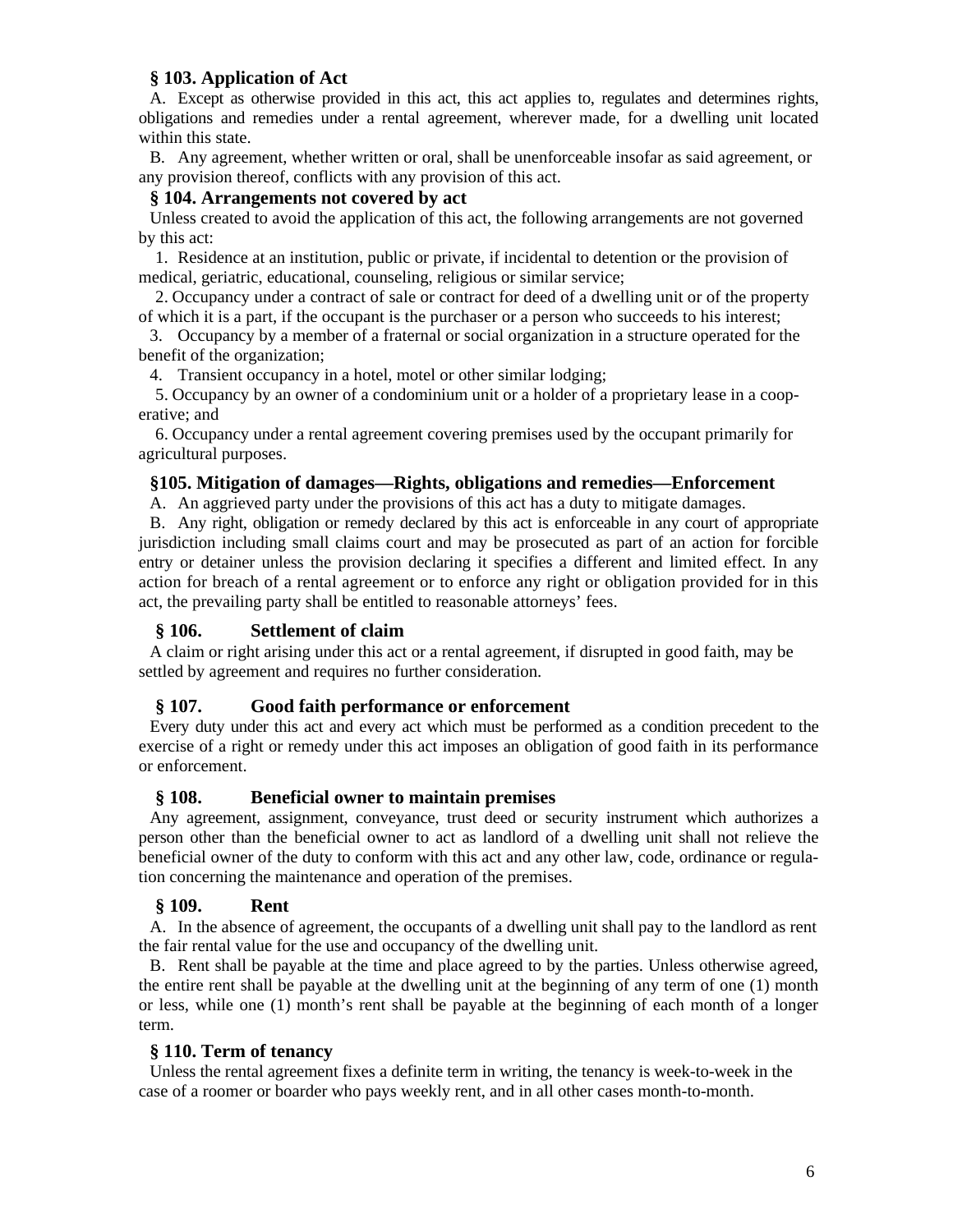## **§ 103. Application of Act**

A. Except as otherwise provided in this act, this act applies to, regulates and determines rights, obligations and remedies under a rental agreement, wherever made, for a dwelling unit located within this state.

B. Any agreement, whether written or oral, shall be unenforceable insofar as said agreement, or any provision thereof, conflicts with any provision of this act.

## **§ 104. Arrangements not covered by act**

Unless created to avoid the application of this act, the following arrangements are not governed by this act:

1. Residence at an institution, public or private, if incidental to detention or the provision of medical, geriatric, educational, counseling, religious or similar service;

2. Occupancy under a contract of sale or contract for deed of a dwelling unit or of the property of which it is a part, if the occupant is the purchaser or a person who succeeds to his interest;

3. Occupancy by a member of a fraternal or social organization in a structure operated for the benefit of the organization;

4. Transient occupancy in a hotel, motel or other similar lodging;

5. Occupancy by an owner of a condominium unit or a holder of a proprietary lease in a cooperative; and

6. Occupancy under a rental agreement covering premises used by the occupant primarily for agricultural purposes.

### **§105. Mitigation of damages—Rights, obligations and remedies—Enforcement**

A. An aggrieved party under the provisions of this act has a duty to mitigate damages.

B. Any right, obligation or remedy declared by this act is enforceable in any court of appropriate jurisdiction including small claims court and may be prosecuted as part of an action for forcible entry or detainer unless the provision declaring it specifies a different and limited effect. In any action for breach of a rental agreement or to enforce any right or obligation provided for in this act, the prevailing party shall be entitled to reasonable attorneys' fees.

## **§ 106. Settlement of claim**

A claim or right arising under this act or a rental agreement, if disrupted in good faith, may be settled by agreement and requires no further consideration.

## **§ 107. Good faith performance or enforcement**

Every duty under this act and every act which must be performed as a condition precedent to the exercise of a right or remedy under this act imposes an obligation of good faith in its performance or enforcement.

## **§ 108. Beneficial owner to maintain premises**

Any agreement, assignment, conveyance, trust deed or security instrument which authorizes a person other than the beneficial owner to act as landlord of a dwelling unit shall not relieve the beneficial owner of the duty to conform with this act and any other law, code, ordinance or regulation concerning the maintenance and operation of the premises.

## **§ 109. Rent**

A. In the absence of agreement, the occupants of a dwelling unit shall pay to the landlord as rent the fair rental value for the use and occupancy of the dwelling unit.

B. Rent shall be payable at the time and place agreed to by the parties. Unless otherwise agreed, the entire rent shall be payable at the dwelling unit at the beginning of any term of one (1) month or less, while one (1) month's rent shall be payable at the beginning of each month of a longer term.

## **§ 110. Term of tenancy**

Unless the rental agreement fixes a definite term in writing, the tenancy is week-to-week in the case of a roomer or boarder who pays weekly rent, and in all other cases month-to-month.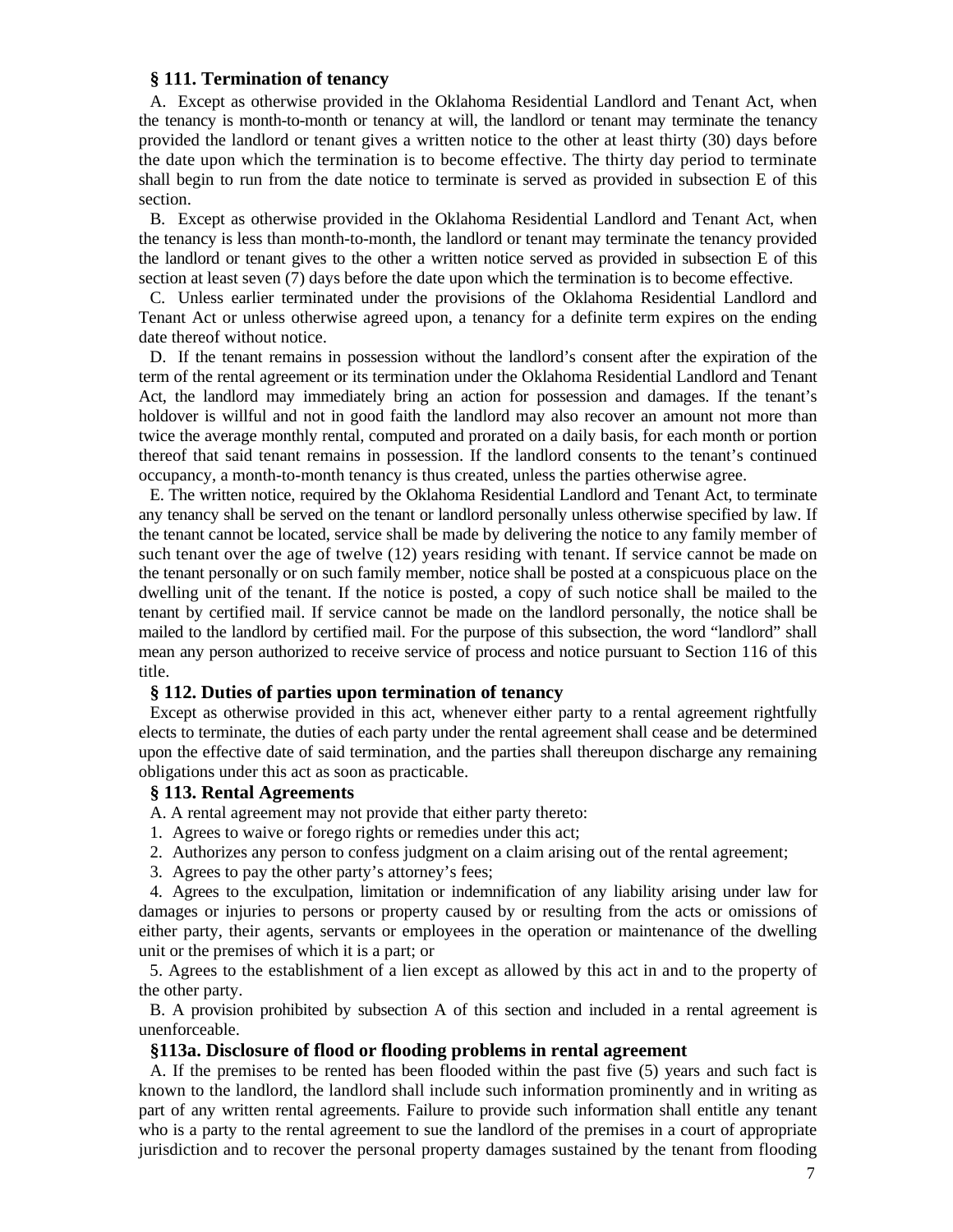#### **§ 111. Termination of tenancy**

A. Except as otherwise provided in the Oklahoma Residential Landlord and Tenant Act, when the tenancy is month-to-month or tenancy at will, the landlord or tenant may terminate the tenancy provided the landlord or tenant gives a written notice to the other at least thirty (30) days before the date upon which the termination is to become effective. The thirty day period to terminate shall begin to run from the date notice to terminate is served as provided in subsection E of this section.

B. Except as otherwise provided in the Oklahoma Residential Landlord and Tenant Act, when the tenancy is less than month-to-month, the landlord or tenant may terminate the tenancy provided the landlord or tenant gives to the other a written notice served as provided in subsection E of this section at least seven (7) days before the date upon which the termination is to become effective.

C. Unless earlier terminated under the provisions of the Oklahoma Residential Landlord and Tenant Act or unless otherwise agreed upon, a tenancy for a definite term expires on the ending date thereof without notice.

D. If the tenant remains in possession without the landlord's consent after the expiration of the term of the rental agreement or its termination under the Oklahoma Residential Landlord and Tenant Act, the landlord may immediately bring an action for possession and damages. If the tenant's holdover is willful and not in good faith the landlord may also recover an amount not more than twice the average monthly rental, computed and prorated on a daily basis, for each month or portion thereof that said tenant remains in possession. If the landlord consents to the tenant's continued occupancy, a month-to-month tenancy is thus created, unless the parties otherwise agree.

E. The written notice, required by the Oklahoma Residential Landlord and Tenant Act, to terminate any tenancy shall be served on the tenant or landlord personally unless otherwise specified by law. If the tenant cannot be located, service shall be made by delivering the notice to any family member of such tenant over the age of twelve (12) years residing with tenant. If service cannot be made on the tenant personally or on such family member, notice shall be posted at a conspicuous place on the dwelling unit of the tenant. If the notice is posted, a copy of such notice shall be mailed to the tenant by certified mail. If service cannot be made on the landlord personally, the notice shall be mailed to the landlord by certified mail. For the purpose of this subsection, the word "landlord" shall mean any person authorized to receive service of process and notice pursuant to Section 116 of this title.

### **§ 112. Duties of parties upon termination of tenancy**

Except as otherwise provided in this act, whenever either party to a rental agreement rightfully elects to terminate, the duties of each party under the rental agreement shall cease and be determined upon the effective date of said termination, and the parties shall thereupon discharge any remaining obligations under this act as soon as practicable.

#### **§ 113. Rental Agreements**

A. A rental agreement may not provide that either party thereto:

- 1. Agrees to waive or forego rights or remedies under this act;
- 2. Authorizes any person to confess judgment on a claim arising out of the rental agreement;
- 3. Agrees to pay the other party's attorney's fees;

4. Agrees to the exculpation, limitation or indemnification of any liability arising under law for damages or injuries to persons or property caused by or resulting from the acts or omissions of either party, their agents, servants or employees in the operation or maintenance of the dwelling unit or the premises of which it is a part; or

5. Agrees to the establishment of a lien except as allowed by this act in and to the property of the other party.

B. A provision prohibited by subsection A of this section and included in a rental agreement is unenforceable.

#### **§113a. Disclosure of flood or flooding problems in rental agreement**

A. If the premises to be rented has been flooded within the past five (5) years and such fact is known to the landlord, the landlord shall include such information prominently and in writing as part of any written rental agreements. Failure to provide such information shall entitle any tenant who is a party to the rental agreement to sue the landlord of the premises in a court of appropriate jurisdiction and to recover the personal property damages sustained by the tenant from flooding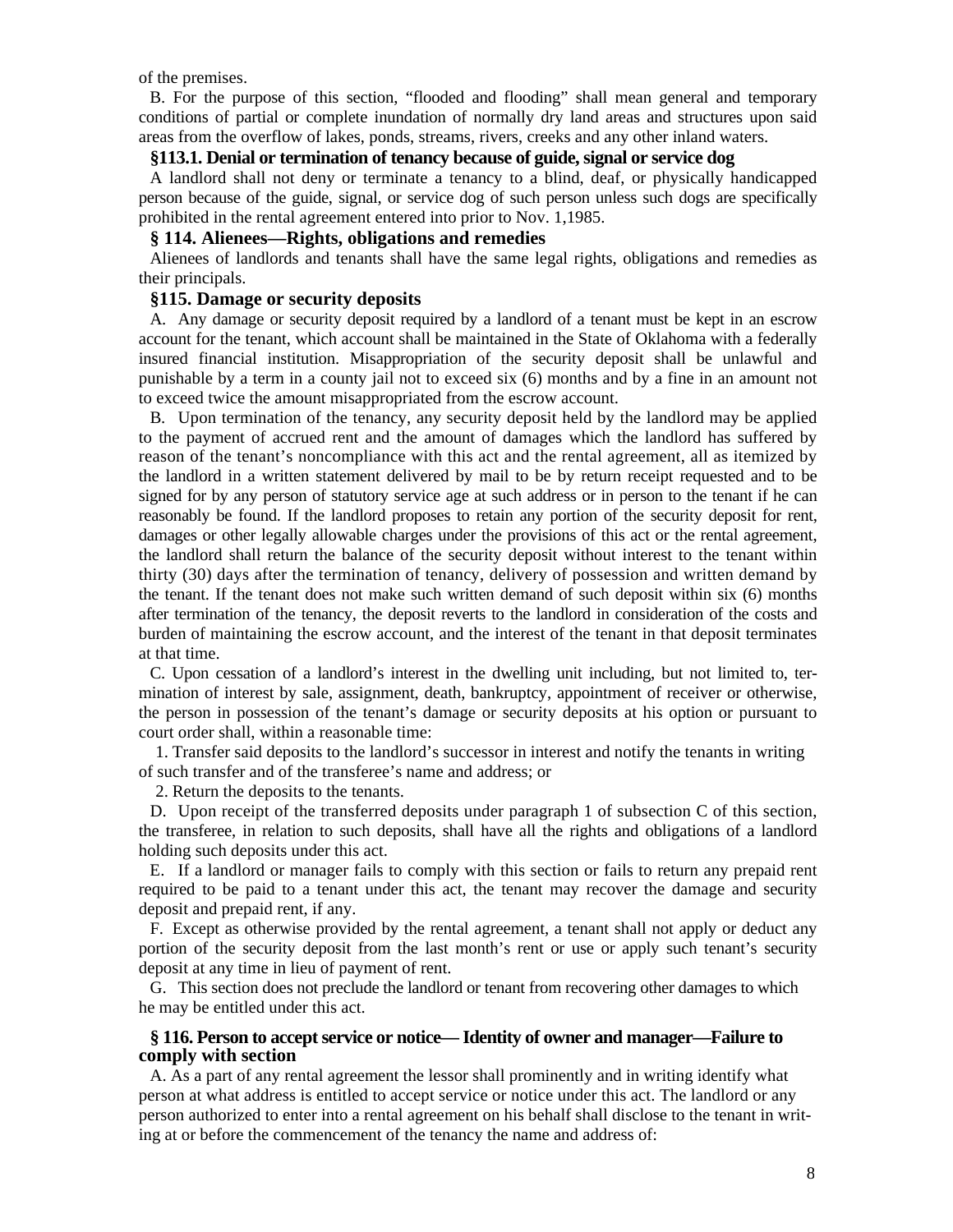of the premises.

B. For the purpose of this section, "flooded and flooding" shall mean general and temporary conditions of partial or complete inundation of normally dry land areas and structures upon said areas from the overflow of lakes, ponds, streams, rivers, creeks and any other inland waters.

## **§113.1. Denial or termination of tenancy because of guide, signal or service dog**

A landlord shall not deny or terminate a tenancy to a blind, deaf, or physically handicapped person because of the guide, signal, or service dog of such person unless such dogs are specifically prohibited in the rental agreement entered into prior to Nov. 1,1985.

#### **§ 114. Alienees—Rights, obligations and remedies**

Alienees of landlords and tenants shall have the same legal rights, obligations and remedies as their principals.

### **§115. Damage or security deposits**

A. Any damage or security deposit required by a landlord of a tenant must be kept in an escrow account for the tenant, which account shall be maintained in the State of Oklahoma with a federally insured financial institution. Misappropriation of the security deposit shall be unlawful and punishable by a term in a county jail not to exceed six (6) months and by a fine in an amount not to exceed twice the amount misappropriated from the escrow account.

B. Upon termination of the tenancy, any security deposit held by the landlord may be applied to the payment of accrued rent and the amount of damages which the landlord has suffered by reason of the tenant's noncompliance with this act and the rental agreement, all as itemized by the landlord in a written statement delivered by mail to be by return receipt requested and to be signed for by any person of statutory service age at such address or in person to the tenant if he can reasonably be found. If the landlord proposes to retain any portion of the security deposit for rent, damages or other legally allowable charges under the provisions of this act or the rental agreement, the landlord shall return the balance of the security deposit without interest to the tenant within thirty (30) days after the termination of tenancy, delivery of possession and written demand by the tenant. If the tenant does not make such written demand of such deposit within six (6) months after termination of the tenancy, the deposit reverts to the landlord in consideration of the costs and burden of maintaining the escrow account, and the interest of the tenant in that deposit terminates at that time.

C. Upon cessation of a landlord's interest in the dwelling unit including, but not limited to, termination of interest by sale, assignment, death, bankruptcy, appointment of receiver or otherwise, the person in possession of the tenant's damage or security deposits at his option or pursuant to court order shall, within a reasonable time:

1. Transfer said deposits to the landlord's successor in interest and notify the tenants in writing of such transfer and of the transferee's name and address; or

2. Return the deposits to the tenants.

D. Upon receipt of the transferred deposits under paragraph 1 of subsection C of this section, the transferee, in relation to such deposits, shall have all the rights and obligations of a landlord holding such deposits under this act.

E. If a landlord or manager fails to comply with this section or fails to return any prepaid rent required to be paid to a tenant under this act, the tenant may recover the damage and security deposit and prepaid rent, if any.

F. Except as otherwise provided by the rental agreement, a tenant shall not apply or deduct any portion of the security deposit from the last month's rent or use or apply such tenant's security deposit at any time in lieu of payment of rent.

G. This section does not preclude the landlord or tenant from recovering other damages to which he may be entitled under this act.

#### **§ 116. Person to accept service or notice— Identity of owner and manager—Failure to comply with section**

A. As a part of any rental agreement the lessor shall prominently and in writing identify what person at what address is entitled to accept service or notice under this act. The landlord or any person authorized to enter into a rental agreement on his behalf shall disclose to the tenant in writing at or before the commencement of the tenancy the name and address of: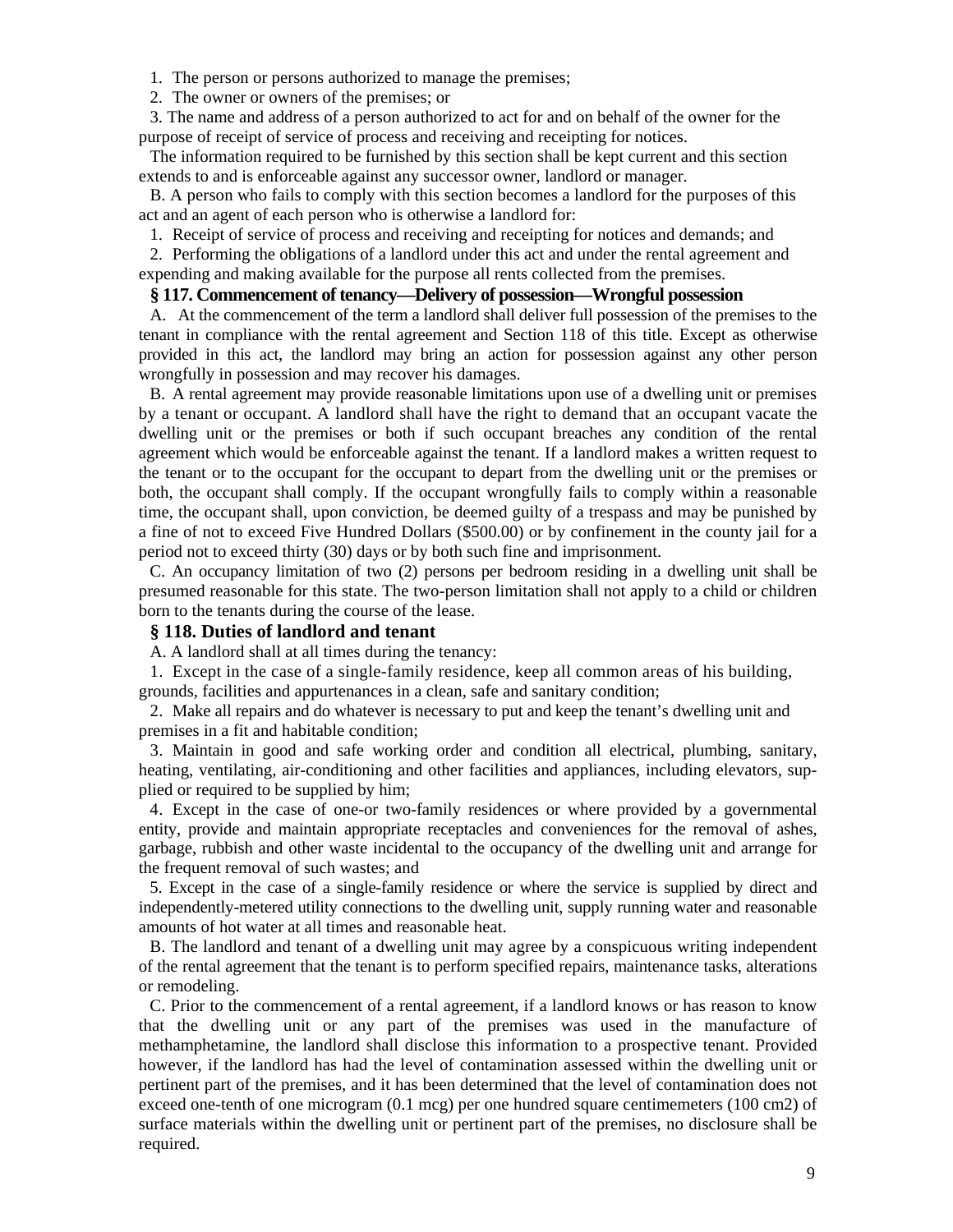- 1. The person or persons authorized to manage the premises;
- 2. The owner or owners of the premises; or

3. The name and address of a person authorized to act for and on behalf of the owner for the purpose of receipt of service of process and receiving and receipting for notices.

The information required to be furnished by this section shall be kept current and this section extends to and is enforceable against any successor owner, landlord or manager.

B. A person who fails to comply with this section becomes a landlord for the purposes of this act and an agent of each person who is otherwise a landlord for:

1. Receipt of service of process and receiving and receipting for notices and demands; and

2. Performing the obligations of a landlord under this act and under the rental agreement and expending and making available for the purpose all rents collected from the premises.

### **§ 117. Commencement of tenancy—Delivery of possession—Wrongful possession**

A. At the commencement of the term a landlord shall deliver full possession of the premises to the tenant in compliance with the rental agreement and Section 118 of this title. Except as otherwise provided in this act, the landlord may bring an action for possession against any other person wrongfully in possession and may recover his damages.

B. A rental agreement may provide reasonable limitations upon use of a dwelling unit or premises by a tenant or occupant. A landlord shall have the right to demand that an occupant vacate the dwelling unit or the premises or both if such occupant breaches any condition of the rental agreement which would be enforceable against the tenant. If a landlord makes a written request to the tenant or to the occupant for the occupant to depart from the dwelling unit or the premises or both, the occupant shall comply. If the occupant wrongfully fails to comply within a reasonable time, the occupant shall, upon conviction, be deemed guilty of a trespass and may be punished by a fine of not to exceed Five Hundred Dollars (\$500.00) or by confinement in the county jail for a period not to exceed thirty (30) days or by both such fine and imprisonment.

C. An occupancy limitation of two (2) persons per bedroom residing in a dwelling unit shall be presumed reasonable for this state. The two-person limitation shall not apply to a child or children born to the tenants during the course of the lease.

#### **§ 118. Duties of landlord and tenant**

A. A landlord shall at all times during the tenancy:

1. Except in the case of a single-family residence, keep all common areas of his building, grounds, facilities and appurtenances in a clean, safe and sanitary condition;

2. Make all repairs and do whatever is necessary to put and keep the tenant's dwelling unit and premises in a fit and habitable condition;

3. Maintain in good and safe working order and condition all electrical, plumbing, sanitary, heating, ventilating, air-conditioning and other facilities and appliances, including elevators, supplied or required to be supplied by him;

4. Except in the case of one-or two-family residences or where provided by a governmental entity, provide and maintain appropriate receptacles and conveniences for the removal of ashes, garbage, rubbish and other waste incidental to the occupancy of the dwelling unit and arrange for the frequent removal of such wastes; and

5. Except in the case of a single-family residence or where the service is supplied by direct and independently-metered utility connections to the dwelling unit, supply running water and reasonable amounts of hot water at all times and reasonable heat.

B. The landlord and tenant of a dwelling unit may agree by a conspicuous writing independent of the rental agreement that the tenant is to perform specified repairs, maintenance tasks, alterations or remodeling.

C. Prior to the commencement of a rental agreement, if a landlord knows or has reason to know that the dwelling unit or any part of the premises was used in the manufacture of methamphetamine, the landlord shall disclose this information to a prospective tenant. Provided however, if the landlord has had the level of contamination assessed within the dwelling unit or pertinent part of the premises, and it has been determined that the level of contamination does not exceed one-tenth of one microgram (0.1 mcg) per one hundred square centimemeters (100 cm2) of surface materials within the dwelling unit or pertinent part of the premises, no disclosure shall be required.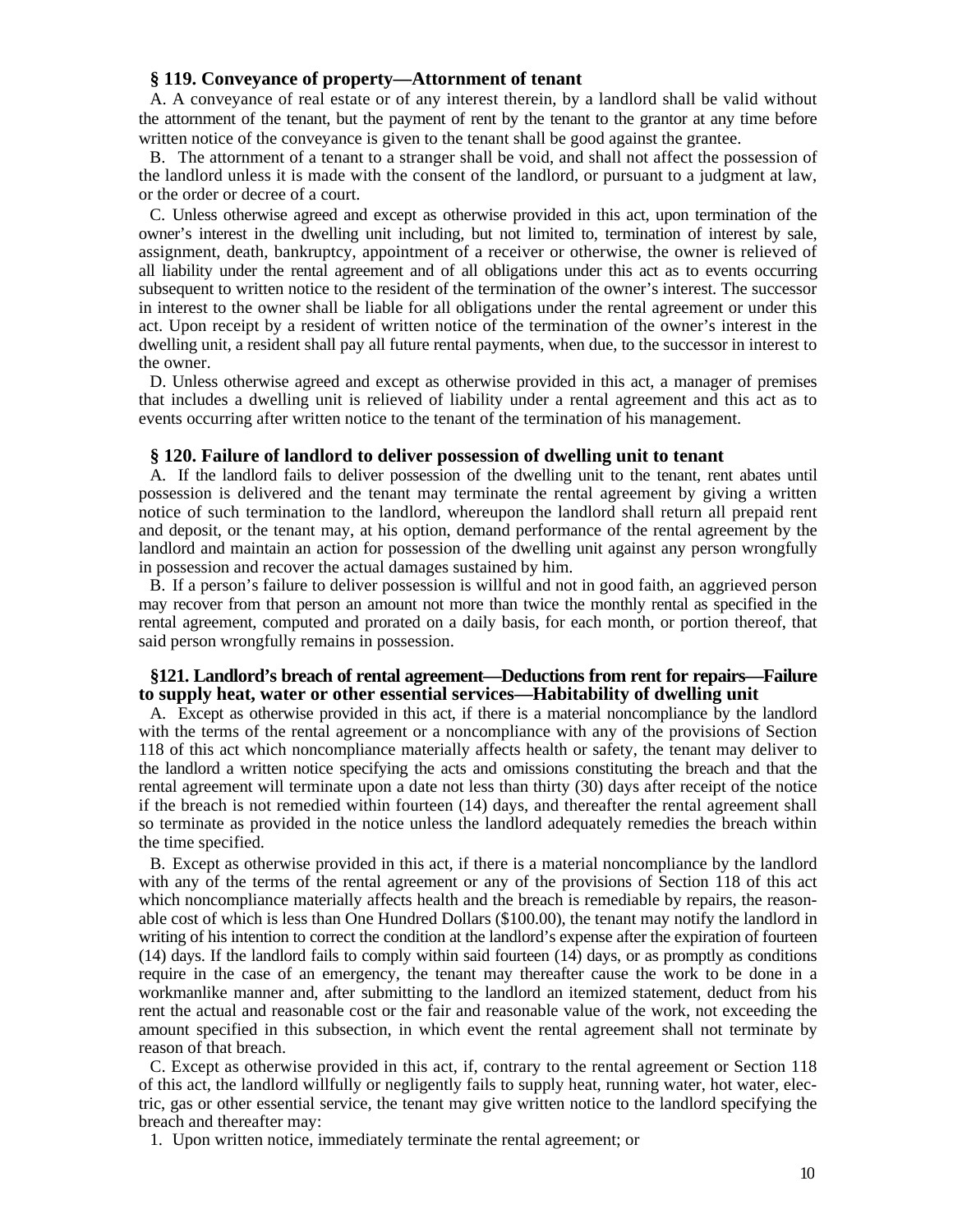#### **§ 119. Conveyance of property—Attornment of tenant**

A. A conveyance of real estate or of any interest therein, by a landlord shall be valid without the attornment of the tenant, but the payment of rent by the tenant to the grantor at any time before written notice of the conveyance is given to the tenant shall be good against the grantee.

B. The attornment of a tenant to a stranger shall be void, and shall not affect the possession of the landlord unless it is made with the consent of the landlord, or pursuant to a judgment at law, or the order or decree of a court.

C. Unless otherwise agreed and except as otherwise provided in this act, upon termination of the owner's interest in the dwelling unit including, but not limited to, termination of interest by sale, assignment, death, bankruptcy, appointment of a receiver or otherwise, the owner is relieved of all liability under the rental agreement and of all obligations under this act as to events occurring subsequent to written notice to the resident of the termination of the owner's interest. The successor in interest to the owner shall be liable for all obligations under the rental agreement or under this act. Upon receipt by a resident of written notice of the termination of the owner's interest in the dwelling unit, a resident shall pay all future rental payments, when due, to the successor in interest to the owner.

D. Unless otherwise agreed and except as otherwise provided in this act, a manager of premises that includes a dwelling unit is relieved of liability under a rental agreement and this act as to events occurring after written notice to the tenant of the termination of his management.

#### **§ 120. Failure of landlord to deliver possession of dwelling unit to tenant**

A. If the landlord fails to deliver possession of the dwelling unit to the tenant, rent abates until possession is delivered and the tenant may terminate the rental agreement by giving a written notice of such termination to the landlord, whereupon the landlord shall return all prepaid rent and deposit, or the tenant may, at his option, demand performance of the rental agreement by the landlord and maintain an action for possession of the dwelling unit against any person wrongfully in possession and recover the actual damages sustained by him.

B. If a person's failure to deliver possession is willful and not in good faith, an aggrieved person may recover from that person an amount not more than twice the monthly rental as specified in the rental agreement, computed and prorated on a daily basis, for each month, or portion thereof, that said person wrongfully remains in possession.

#### **§121. Landlord's breach of rental agreement—Deductions from rent for repairs—Failure to supply heat, water or other essential services—Habitability of dwelling unit**

A. Except as otherwise provided in this act, if there is a material noncompliance by the landlord with the terms of the rental agreement or a noncompliance with any of the provisions of Section 118 of this act which noncompliance materially affects health or safety, the tenant may deliver to the landlord a written notice specifying the acts and omissions constituting the breach and that the rental agreement will terminate upon a date not less than thirty (30) days after receipt of the notice if the breach is not remedied within fourteen (14) days, and thereafter the rental agreement shall so terminate as provided in the notice unless the landlord adequately remedies the breach within the time specified.

B. Except as otherwise provided in this act, if there is a material noncompliance by the landlord with any of the terms of the rental agreement or any of the provisions of Section 118 of this act which noncompliance materially affects health and the breach is remediable by repairs, the reasonable cost of which is less than One Hundred Dollars (\$100.00), the tenant may notify the landlord in writing of his intention to correct the condition at the landlord's expense after the expiration of fourteen (14) days. If the landlord fails to comply within said fourteen (14) days, or as promptly as conditions require in the case of an emergency, the tenant may thereafter cause the work to be done in a workmanlike manner and, after submitting to the landlord an itemized statement, deduct from his rent the actual and reasonable cost or the fair and reasonable value of the work, not exceeding the amount specified in this subsection, in which event the rental agreement shall not terminate by reason of that breach.

C. Except as otherwise provided in this act, if, contrary to the rental agreement or Section 118 of this act, the landlord willfully or negligently fails to supply heat, running water, hot water, electric, gas or other essential service, the tenant may give written notice to the landlord specifying the breach and thereafter may:

1. Upon written notice, immediately terminate the rental agreement; or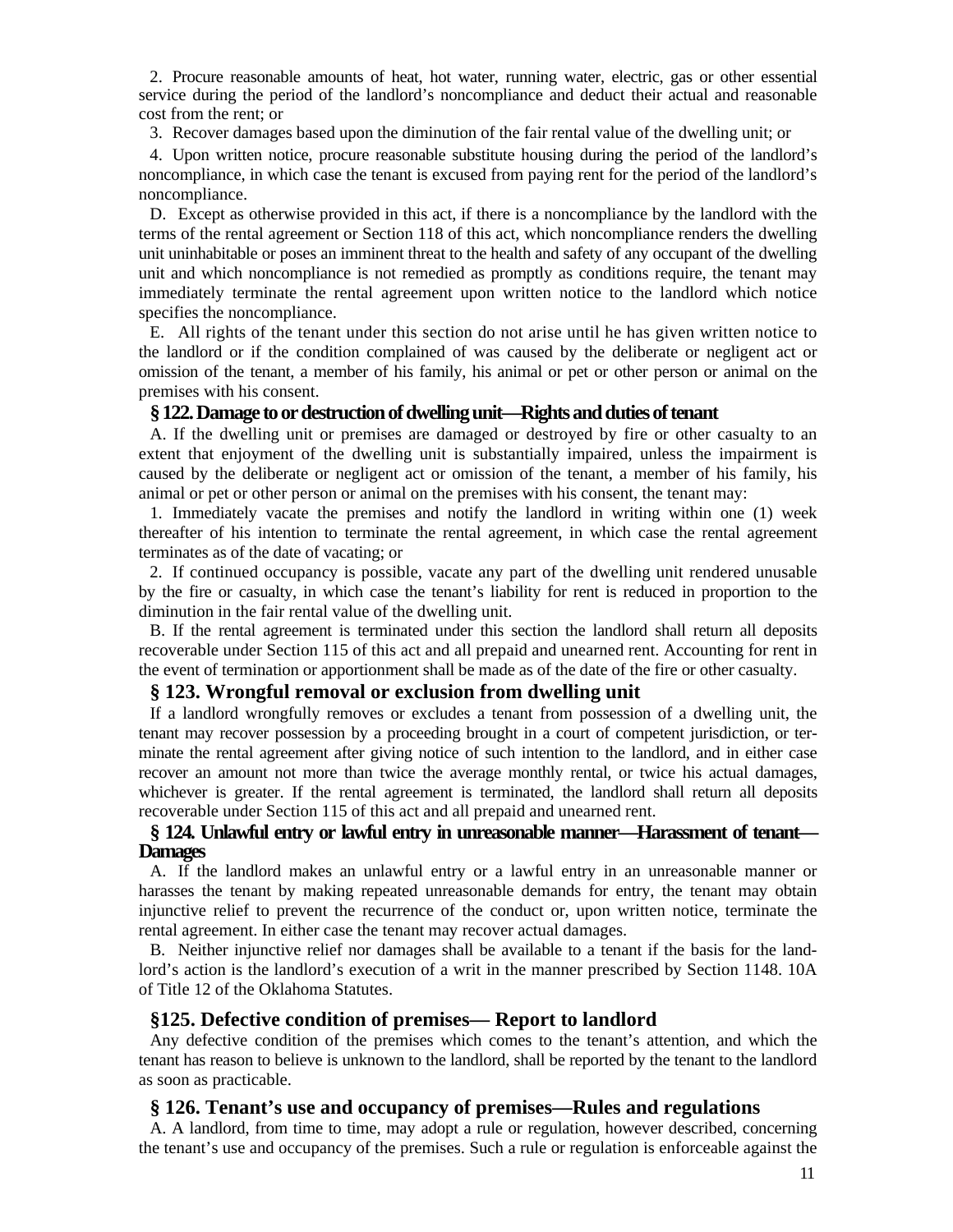2. Procure reasonable amounts of heat, hot water, running water, electric, gas or other essential service during the period of the landlord's noncompliance and deduct their actual and reasonable cost from the rent; or

3. Recover damages based upon the diminution of the fair rental value of the dwelling unit; or

4. Upon written notice, procure reasonable substitute housing during the period of the landlord's noncompliance, in which case the tenant is excused from paying rent for the period of the landlord's noncompliance.

D. Except as otherwise provided in this act, if there is a noncompliance by the landlord with the terms of the rental agreement or Section 118 of this act, which noncompliance renders the dwelling unit uninhabitable or poses an imminent threat to the health and safety of any occupant of the dwelling unit and which noncompliance is not remedied as promptly as conditions require, the tenant may immediately terminate the rental agreement upon written notice to the landlord which notice specifies the noncompliance.

E. All rights of the tenant under this section do not arise until he has given written notice to the landlord or if the condition complained of was caused by the deliberate or negligent act or omission of the tenant, a member of his family, his animal or pet or other person or animal on the premises with his consent.

#### **§ 122. Damage to or destruction of dwelling unit—Rights and duties of tenant**

A. If the dwelling unit or premises are damaged or destroyed by fire or other casualty to an extent that enjoyment of the dwelling unit is substantially impaired, unless the impairment is caused by the deliberate or negligent act or omission of the tenant, a member of his family, his animal or pet or other person or animal on the premises with his consent, the tenant may:

1. Immediately vacate the premises and notify the landlord in writing within one (1) week thereafter of his intention to terminate the rental agreement, in which case the rental agreement terminates as of the date of vacating; or

2. If continued occupancy is possible, vacate any part of the dwelling unit rendered unusable by the fire or casualty, in which case the tenant's liability for rent is reduced in proportion to the diminution in the fair rental value of the dwelling unit.

B. If the rental agreement is terminated under this section the landlord shall return all deposits recoverable under Section 115 of this act and all prepaid and unearned rent. Accounting for rent in the event of termination or apportionment shall be made as of the date of the fire or other casualty.

## **§ 123. Wrongful removal or exclusion from dwelling unit**

If a landlord wrongfully removes or excludes a tenant from possession of a dwelling unit, the tenant may recover possession by a proceeding brought in a court of competent jurisdiction, or terminate the rental agreement after giving notice of such intention to the landlord, and in either case recover an amount not more than twice the average monthly rental, or twice his actual damages, whichever is greater. If the rental agreement is terminated, the landlord shall return all deposits recoverable under Section 115 of this act and all prepaid and unearned rent.

## **§ 124. Unlawful entry or lawful entry in unreasonable manner—Harassment of tenant— Damages**

A. If the landlord makes an unlawful entry or a lawful entry in an unreasonable manner or harasses the tenant by making repeated unreasonable demands for entry, the tenant may obtain injunctive relief to prevent the recurrence of the conduct or, upon written notice, terminate the rental agreement. In either case the tenant may recover actual damages.

B. Neither injunctive relief nor damages shall be available to a tenant if the basis for the landlord's action is the landlord's execution of a writ in the manner prescribed by Section 1148. 10A of Title 12 of the Oklahoma Statutes.

#### **§125. Defective condition of premises— Report to landlord**

Any defective condition of the premises which comes to the tenant's attention, and which the tenant has reason to believe is unknown to the landlord, shall be reported by the tenant to the landlord as soon as practicable.

## **§ 126. Tenant's use and occupancy of premises—Rules and regulations**

A. A landlord, from time to time, may adopt a rule or regulation, however described, concerning the tenant's use and occupancy of the premises. Such a rule or regulation is enforceable against the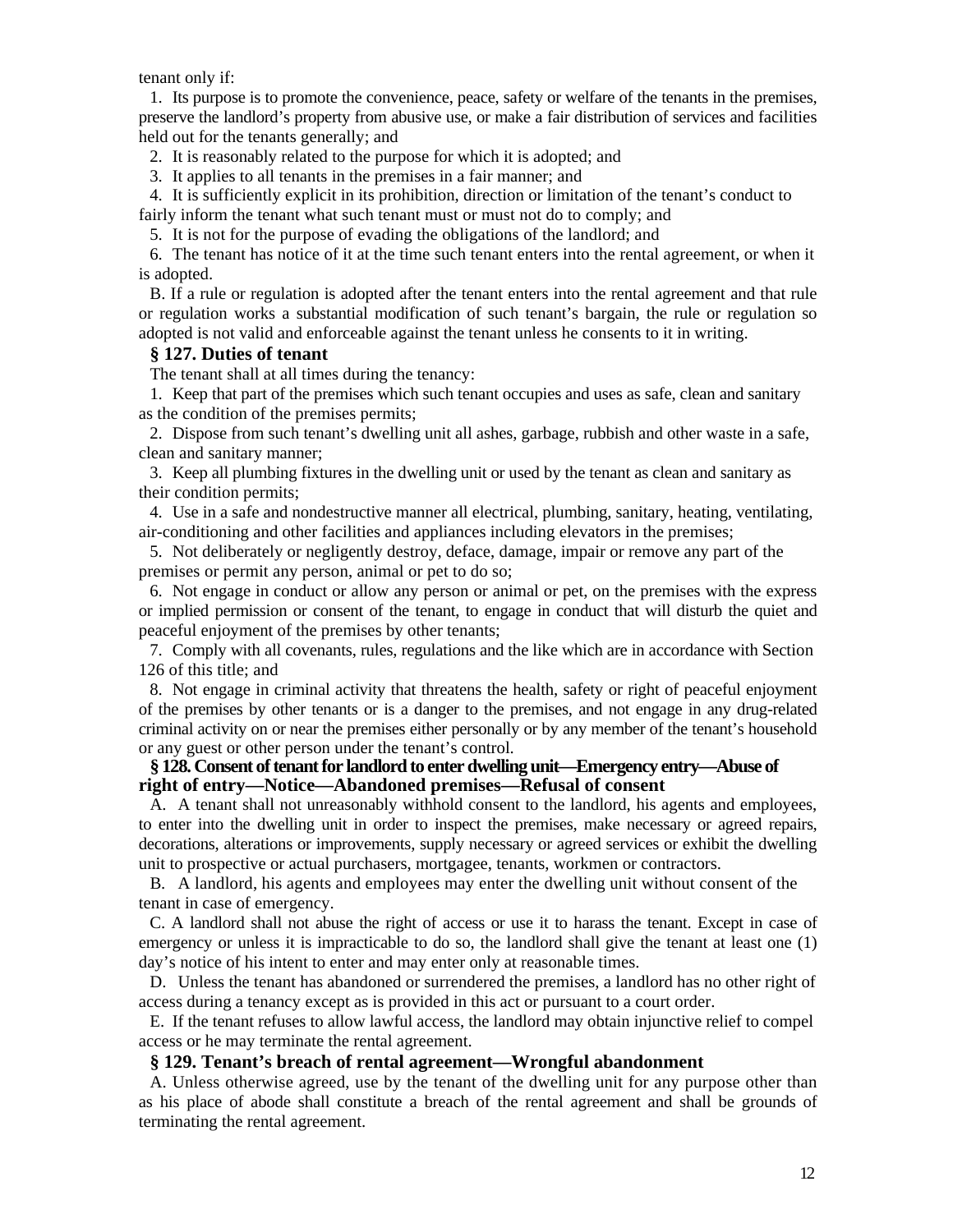tenant only if:

1. Its purpose is to promote the convenience, peace, safety or welfare of the tenants in the premises, preserve the landlord's property from abusive use, or make a fair distribution of services and facilities held out for the tenants generally; and

2. It is reasonably related to the purpose for which it is adopted; and

3. It applies to all tenants in the premises in a fair manner; and

4. It is sufficiently explicit in its prohibition, direction or limitation of the tenant's conduct to

fairly inform the tenant what such tenant must or must not do to comply; and

5. It is not for the purpose of evading the obligations of the landlord; and

6. The tenant has notice of it at the time such tenant enters into the rental agreement, or when it is adopted.

B. If a rule or regulation is adopted after the tenant enters into the rental agreement and that rule or regulation works a substantial modification of such tenant's bargain, the rule or regulation so adopted is not valid and enforceable against the tenant unless he consents to it in writing.

#### **§ 127. Duties of tenant**

The tenant shall at all times during the tenancy:

1. Keep that part of the premises which such tenant occupies and uses as safe, clean and sanitary as the condition of the premises permits;

2. Dispose from such tenant's dwelling unit all ashes, garbage, rubbish and other waste in a safe, clean and sanitary manner;

3. Keep all plumbing fixtures in the dwelling unit or used by the tenant as clean and sanitary as their condition permits;

4. Use in a safe and nondestructive manner all electrical, plumbing, sanitary, heating, ventilating, air-conditioning and other facilities and appliances including elevators in the premises;

5. Not deliberately or negligently destroy, deface, damage, impair or remove any part of the premises or permit any person, animal or pet to do so;

6. Not engage in conduct or allow any person or animal or pet, on the premises with the express or implied permission or consent of the tenant, to engage in conduct that will disturb the quiet and peaceful enjoyment of the premises by other tenants;

7. Comply with all covenants, rules, regulations and the like which are in accordance with Section 126 of this title; and

8. Not engage in criminal activity that threatens the health, safety or right of peaceful enjoyment of the premises by other tenants or is a danger to the premises, and not engage in any drug-related criminal activity on or near the premises either personally or by any member of the tenant's household or any guest or other person under the tenant's control.

#### **§ 128. Consent of tenant for landlord to enter dwelling unit—Emergency entry—Abuse of right of entry—Notice—Abandoned premises—Refusal of consent**

A. A tenant shall not unreasonably withhold consent to the landlord, his agents and employees, to enter into the dwelling unit in order to inspect the premises, make necessary or agreed repairs, decorations, alterations or improvements, supply necessary or agreed services or exhibit the dwelling unit to prospective or actual purchasers, mortgagee, tenants, workmen or contractors.

B. A landlord, his agents and employees may enter the dwelling unit without consent of the tenant in case of emergency.

C. A landlord shall not abuse the right of access or use it to harass the tenant. Except in case of emergency or unless it is impracticable to do so, the landlord shall give the tenant at least one (1) day's notice of his intent to enter and may enter only at reasonable times.

D. Unless the tenant has abandoned or surrendered the premises, a landlord has no other right of access during a tenancy except as is provided in this act or pursuant to a court order.

E. If the tenant refuses to allow lawful access, the landlord may obtain injunctive relief to compel access or he may terminate the rental agreement.

#### **§ 129. Tenant's breach of rental agreement—Wrongful abandonment**

A. Unless otherwise agreed, use by the tenant of the dwelling unit for any purpose other than as his place of abode shall constitute a breach of the rental agreement and shall be grounds of terminating the rental agreement.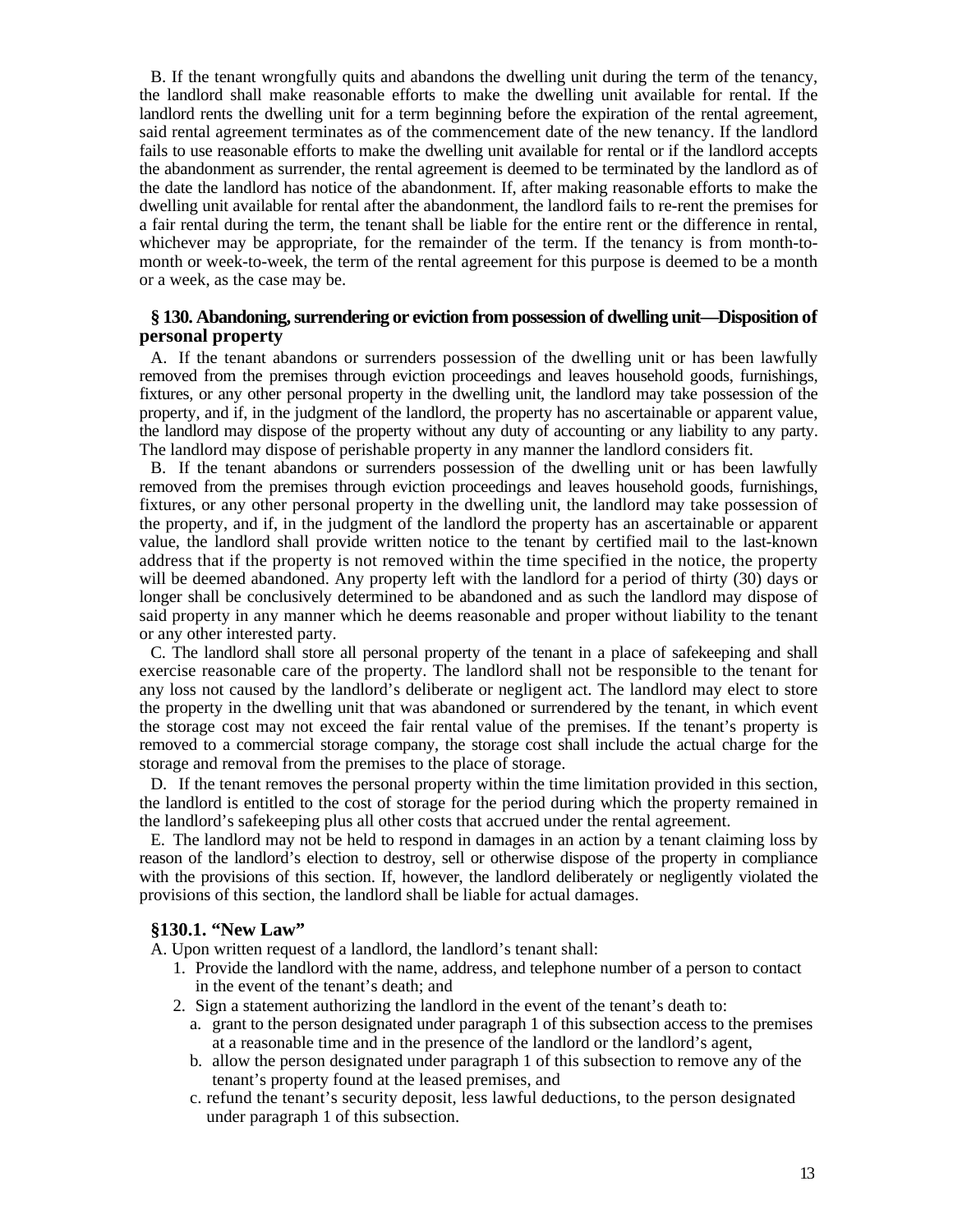B. If the tenant wrongfully quits and abandons the dwelling unit during the term of the tenancy, the landlord shall make reasonable efforts to make the dwelling unit available for rental. If the landlord rents the dwelling unit for a term beginning before the expiration of the rental agreement, said rental agreement terminates as of the commencement date of the new tenancy. If the landlord fails to use reasonable efforts to make the dwelling unit available for rental or if the landlord accepts the abandonment as surrender, the rental agreement is deemed to be terminated by the landlord as of the date the landlord has notice of the abandonment. If, after making reasonable efforts to make the dwelling unit available for rental after the abandonment, the landlord fails to re-rent the premises for a fair rental during the term, the tenant shall be liable for the entire rent or the difference in rental, whichever may be appropriate, for the remainder of the term. If the tenancy is from month-tomonth or week-to-week, the term of the rental agreement for this purpose is deemed to be a month or a week, as the case may be.

### **§ 130. Abandoning, surrendering or eviction from possession of dwelling unit—Disposition of personal property**

A. If the tenant abandons or surrenders possession of the dwelling unit or has been lawfully removed from the premises through eviction proceedings and leaves household goods, furnishings, fixtures, or any other personal property in the dwelling unit, the landlord may take possession of the property, and if, in the judgment of the landlord, the property has no ascertainable or apparent value, the landlord may dispose of the property without any duty of accounting or any liability to any party. The landlord may dispose of perishable property in any manner the landlord considers fit.

B. If the tenant abandons or surrenders possession of the dwelling unit or has been lawfully removed from the premises through eviction proceedings and leaves household goods, furnishings, fixtures, or any other personal property in the dwelling unit, the landlord may take possession of the property, and if, in the judgment of the landlord the property has an ascertainable or apparent value, the landlord shall provide written notice to the tenant by certified mail to the last-known address that if the property is not removed within the time specified in the notice, the property will be deemed abandoned. Any property left with the landlord for a period of thirty (30) days or longer shall be conclusively determined to be abandoned and as such the landlord may dispose of said property in any manner which he deems reasonable and proper without liability to the tenant or any other interested party.

C. The landlord shall store all personal property of the tenant in a place of safekeeping and shall exercise reasonable care of the property. The landlord shall not be responsible to the tenant for any loss not caused by the landlord's deliberate or negligent act. The landlord may elect to store the property in the dwelling unit that was abandoned or surrendered by the tenant, in which event the storage cost may not exceed the fair rental value of the premises. If the tenant's property is removed to a commercial storage company, the storage cost shall include the actual charge for the storage and removal from the premises to the place of storage.

D. If the tenant removes the personal property within the time limitation provided in this section, the landlord is entitled to the cost of storage for the period during which the property remained in the landlord's safekeeping plus all other costs that accrued under the rental agreement.

E. The landlord may not be held to respond in damages in an action by a tenant claiming loss by reason of the landlord's election to destroy, sell or otherwise dispose of the property in compliance with the provisions of this section. If, however, the landlord deliberately or negligently violated the provisions of this section, the landlord shall be liable for actual damages.

#### **§130.1. "New Law"**

A. Upon written request of a landlord, the landlord's tenant shall:

- 1. Provide the landlord with the name, address, and telephone number of a person to contact in the event of the tenant's death; and
- 2. Sign a statement authorizing the landlord in the event of the tenant's death to:
	- a. grant to the person designated under paragraph 1 of this subsection access to the premises at a reasonable time and in the presence of the landlord or the landlord's agent,
	- b. allow the person designated under paragraph 1 of this subsection to remove any of the tenant's property found at the leased premises, and
	- c. refund the tenant's security deposit, less lawful deductions, to the person designated under paragraph 1 of this subsection.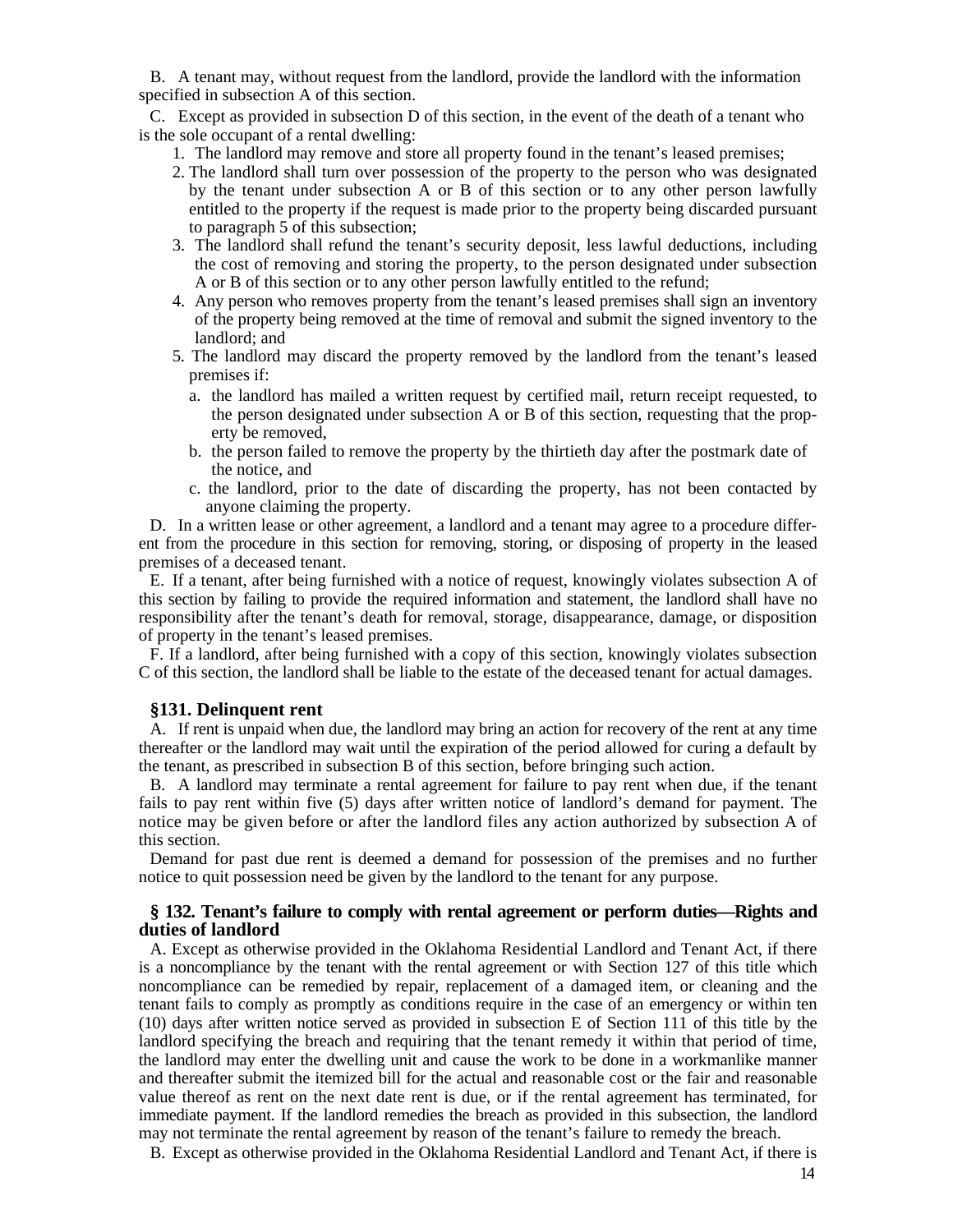B. A tenant may, without request from the landlord, provide the landlord with the information specified in subsection A of this section.

C. Except as provided in subsection D of this section, in the event of the death of a tenant who is the sole occupant of a rental dwelling:

- 1. The landlord may remove and store all property found in the tenant's leased premises;
- 2. The landlord shall turn over possession of the property to the person who was designated by the tenant under subsection A or B of this section or to any other person lawfully entitled to the property if the request is made prior to the property being discarded pursuant to paragraph 5 of this subsection;
- 3. The landlord shall refund the tenant's security deposit, less lawful deductions, including the cost of removing and storing the property, to the person designated under subsection A or B of this section or to any other person lawfully entitled to the refund;
- 4. Any person who removes property from the tenant's leased premises shall sign an inventory of the property being removed at the time of removal and submit the signed inventory to the landlord; and
- 5. The landlord may discard the property removed by the landlord from the tenant's leased premises if:
	- a. the landlord has mailed a written request by certified mail, return receipt requested, to the person designated under subsection A or B of this section, requesting that the property be removed,
	- b. the person failed to remove the property by the thirtieth day after the postmark date of the notice, and
	- c. the landlord, prior to the date of discarding the property, has not been contacted by anyone claiming the property.

D. In a written lease or other agreement, a landlord and a tenant may agree to a procedure different from the procedure in this section for removing, storing, or disposing of property in the leased premises of a deceased tenant.

E. If a tenant, after being furnished with a notice of request, knowingly violates subsection A of this section by failing to provide the required information and statement, the landlord shall have no responsibility after the tenant's death for removal, storage, disappearance, damage, or disposition of property in the tenant's leased premises.

F. If a landlord, after being furnished with a copy of this section, knowingly violates subsection C of this section, the landlord shall be liable to the estate of the deceased tenant for actual damages.

#### **§131. Delinquent rent**

A. If rent is unpaid when due, the landlord may bring an action for recovery of the rent at any time thereafter or the landlord may wait until the expiration of the period allowed for curing a default by the tenant, as prescribed in subsection B of this section, before bringing such action.

B. A landlord may terminate a rental agreement for failure to pay rent when due, if the tenant fails to pay rent within five (5) days after written notice of landlord's demand for payment. The notice may be given before or after the landlord files any action authorized by subsection A of this section.

Demand for past due rent is deemed a demand for possession of the premises and no further notice to quit possession need be given by the landlord to the tenant for any purpose.

#### **§ 132. Tenant's failure to comply with rental agreement or perform duties—Rights and duties of landlord**

A. Except as otherwise provided in the Oklahoma Residential Landlord and Tenant Act, if there is a noncompliance by the tenant with the rental agreement or with Section 127 of this title which noncompliance can be remedied by repair, replacement of a damaged item, or cleaning and the tenant fails to comply as promptly as conditions require in the case of an emergency or within ten (10) days after written notice served as provided in subsection E of Section 111 of this title by the landlord specifying the breach and requiring that the tenant remedy it within that period of time, the landlord may enter the dwelling unit and cause the work to be done in a workmanlike manner and thereafter submit the itemized bill for the actual and reasonable cost or the fair and reasonable value thereof as rent on the next date rent is due, or if the rental agreement has terminated, for immediate payment. If the landlord remedies the breach as provided in this subsection, the landlord may not terminate the rental agreement by reason of the tenant's failure to remedy the breach.

B. Except as otherwise provided in the Oklahoma Residential Landlord and Tenant Act, if there is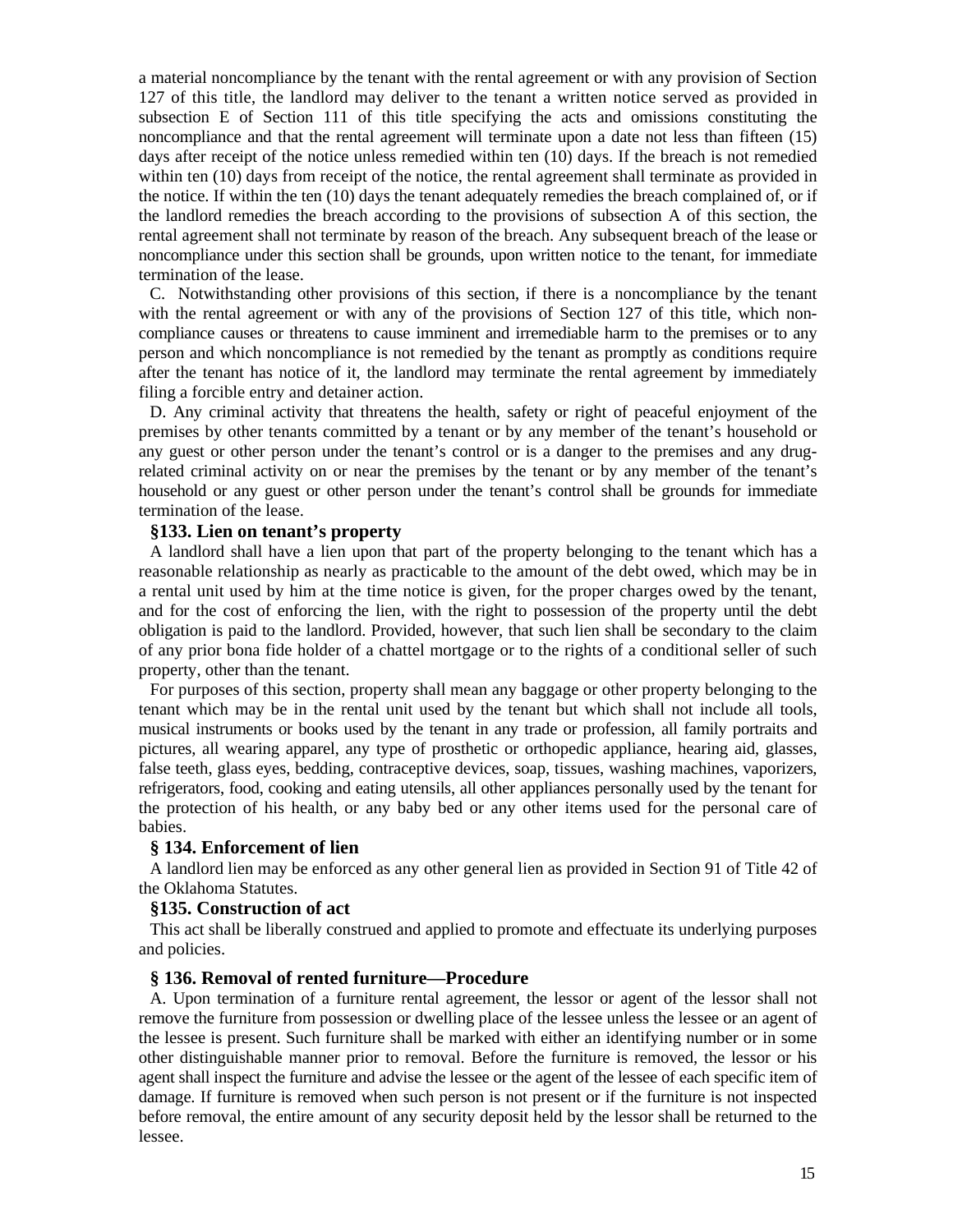a material noncompliance by the tenant with the rental agreement or with any provision of Section 127 of this title, the landlord may deliver to the tenant a written notice served as provided in subsection E of Section 111 of this title specifying the acts and omissions constituting the noncompliance and that the rental agreement will terminate upon a date not less than fifteen (15) days after receipt of the notice unless remedied within ten (10) days. If the breach is not remedied within ten (10) days from receipt of the notice, the rental agreement shall terminate as provided in the notice. If within the ten (10) days the tenant adequately remedies the breach complained of, or if the landlord remedies the breach according to the provisions of subsection A of this section, the rental agreement shall not terminate by reason of the breach. Any subsequent breach of the lease or noncompliance under this section shall be grounds, upon written notice to the tenant, for immediate termination of the lease.

C. Notwithstanding other provisions of this section, if there is a noncompliance by the tenant with the rental agreement or with any of the provisions of Section 127 of this title, which noncompliance causes or threatens to cause imminent and irremediable harm to the premises or to any person and which noncompliance is not remedied by the tenant as promptly as conditions require after the tenant has notice of it, the landlord may terminate the rental agreement by immediately filing a forcible entry and detainer action.

D. Any criminal activity that threatens the health, safety or right of peaceful enjoyment of the premises by other tenants committed by a tenant or by any member of the tenant's household or any guest or other person under the tenant's control or is a danger to the premises and any drugrelated criminal activity on or near the premises by the tenant or by any member of the tenant's household or any guest or other person under the tenant's control shall be grounds for immediate termination of the lease.

## **§133. Lien on tenant's property**

A landlord shall have a lien upon that part of the property belonging to the tenant which has a reasonable relationship as nearly as practicable to the amount of the debt owed, which may be in a rental unit used by him at the time notice is given, for the proper charges owed by the tenant, and for the cost of enforcing the lien, with the right to possession of the property until the debt obligation is paid to the landlord. Provided, however, that such lien shall be secondary to the claim of any prior bona fide holder of a chattel mortgage or to the rights of a conditional seller of such property, other than the tenant.

For purposes of this section, property shall mean any baggage or other property belonging to the tenant which may be in the rental unit used by the tenant but which shall not include all tools, musical instruments or books used by the tenant in any trade or profession, all family portraits and pictures, all wearing apparel, any type of prosthetic or orthopedic appliance, hearing aid, glasses, false teeth, glass eyes, bedding, contraceptive devices, soap, tissues, washing machines, vaporizers, refrigerators, food, cooking and eating utensils, all other appliances personally used by the tenant for the protection of his health, or any baby bed or any other items used for the personal care of babies.

### **§ 134. Enforcement of lien**

A landlord lien may be enforced as any other general lien as provided in Section 91 of Title 42 of the Oklahoma Statutes.

#### **§135. Construction of act**

This act shall be liberally construed and applied to promote and effectuate its underlying purposes and policies.

#### **§ 136. Removal of rented furniture—Procedure**

A. Upon termination of a furniture rental agreement, the lessor or agent of the lessor shall not remove the furniture from possession or dwelling place of the lessee unless the lessee or an agent of the lessee is present. Such furniture shall be marked with either an identifying number or in some other distinguishable manner prior to removal. Before the furniture is removed, the lessor or his agent shall inspect the furniture and advise the lessee or the agent of the lessee of each specific item of damage. If furniture is removed when such person is not present or if the furniture is not inspected before removal, the entire amount of any security deposit held by the lessor shall be returned to the lessee.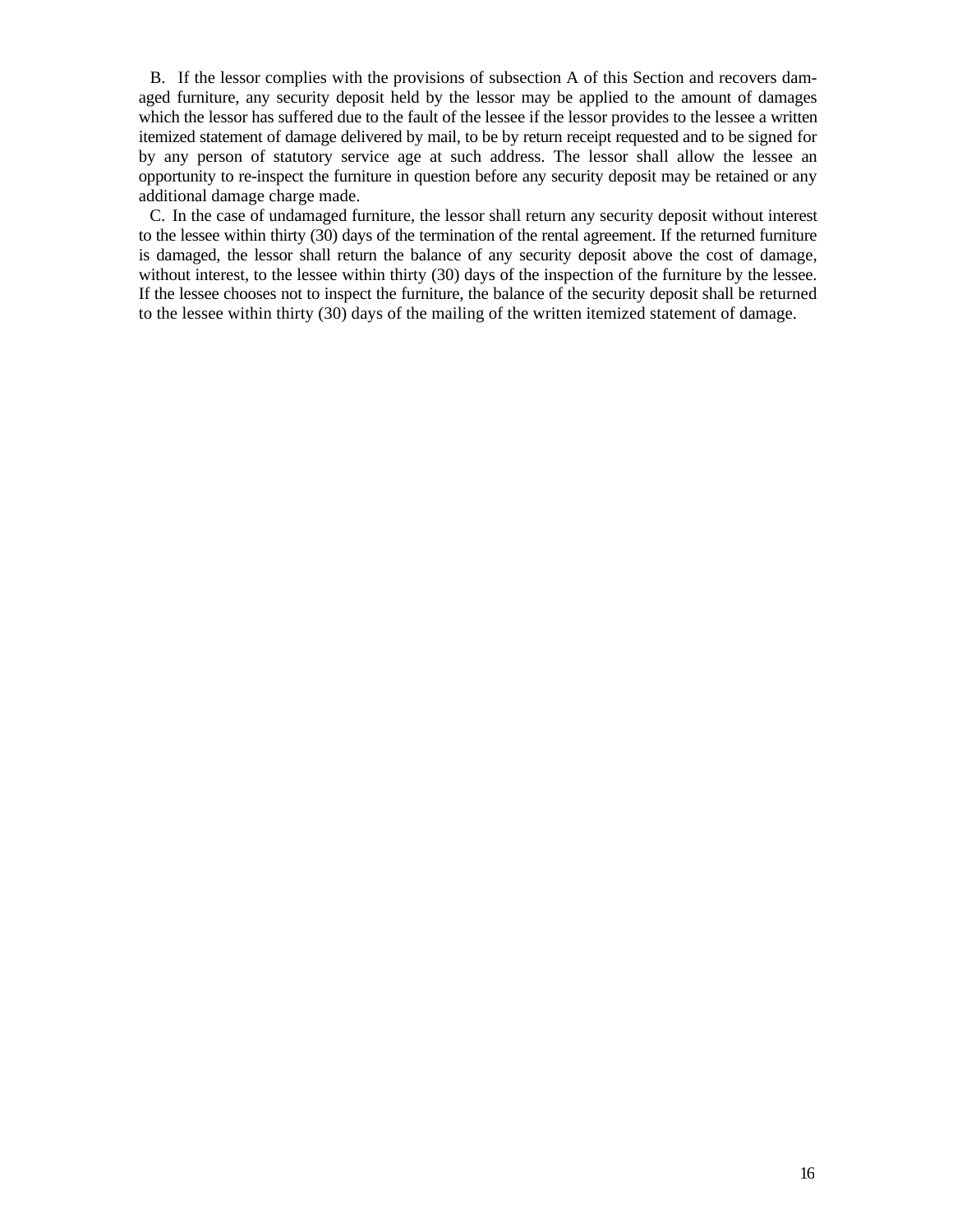B. If the lessor complies with the provisions of subsection A of this Section and recovers damaged furniture, any security deposit held by the lessor may be applied to the amount of damages which the lessor has suffered due to the fault of the lessee if the lessor provides to the lessee a written itemized statement of damage delivered by mail, to be by return receipt requested and to be signed for by any person of statutory service age at such address. The lessor shall allow the lessee an opportunity to re-inspect the furniture in question before any security deposit may be retained or any additional damage charge made.

C. In the case of undamaged furniture, the lessor shall return any security deposit without interest to the lessee within thirty (30) days of the termination of the rental agreement. If the returned furniture is damaged, the lessor shall return the balance of any security deposit above the cost of damage, without interest, to the lessee within thirty (30) days of the inspection of the furniture by the lessee. If the lessee chooses not to inspect the furniture, the balance of the security deposit shall be returned to the lessee within thirty (30) days of the mailing of the written itemized statement of damage.